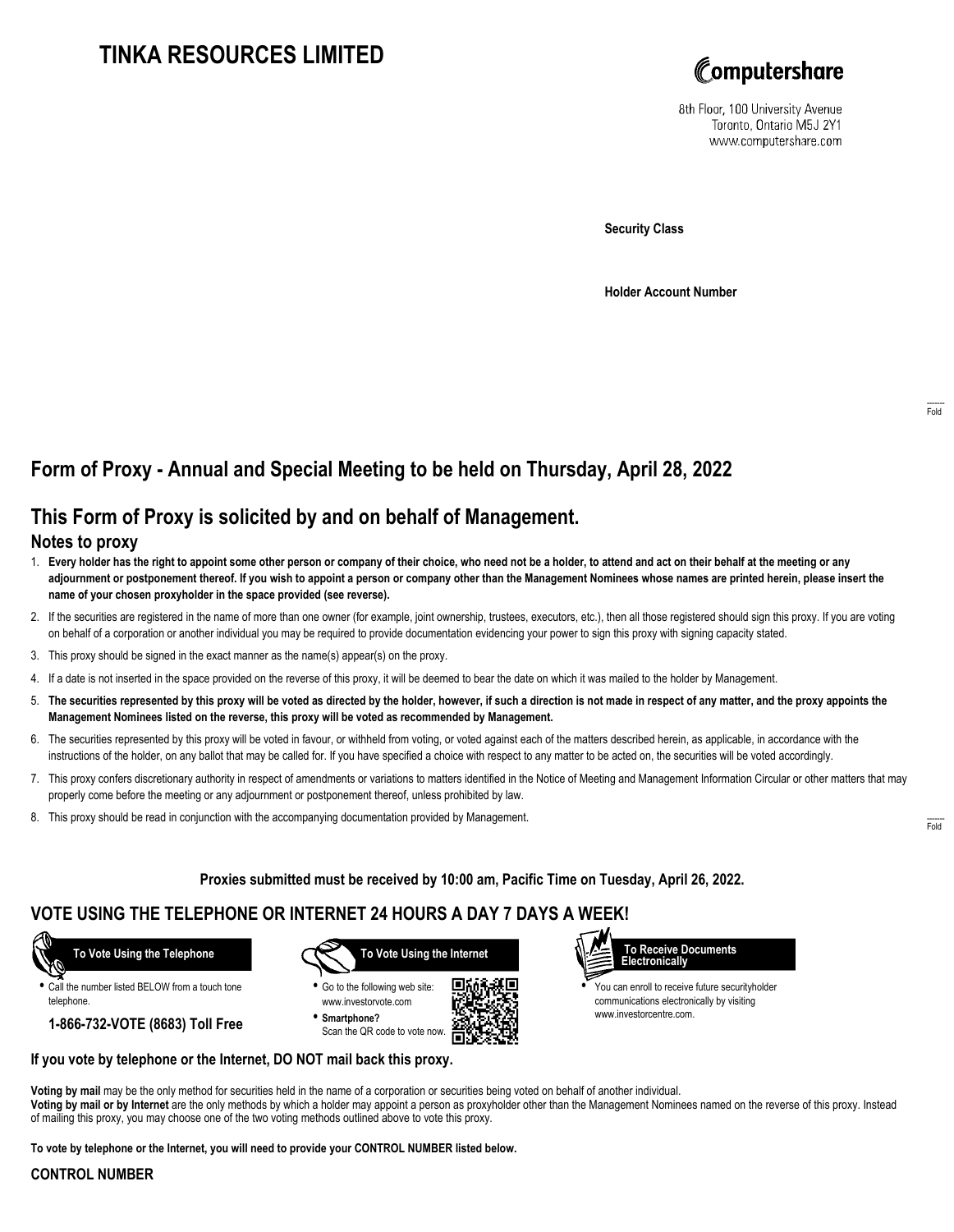# **TINKA RESOURCES LIMITED**



8th Floor, 100 University Avenue Toronto, Ontario M5J 2Y1 www.computershare.com

**Security Class**

**Holder Account Number**

# **Form of Proxy - Annual and Special Meeting to be held on Thursday, April 28, 2022**

## **This Form of Proxy is solicited by and on behalf of Management.**

### **Notes to proxy**

- 1. **Every holder has the right to appoint some other person or company of their choice, who need not be a holder, to attend and act on their behalf at the meeting or any adjournment or postponement thereof. If you wish to appoint a person or company other than the Management Nominees whose names are printed herein, please insert the name of your chosen proxyholder in the space provided (see reverse).**
- 2. If the securities are registered in the name of more than one owner (for example, joint ownership, trustees, executors, etc.), then all those registered should sign this proxy. If you are voting on behalf of a corporation or another individual you may be required to provide documentation evidencing your power to sign this proxy with signing capacity stated.
- 3. This proxy should be signed in the exact manner as the name(s) appear(s) on the proxy.
- 4. If a date is not inserted in the space provided on the reverse of this proxy, it will be deemed to bear the date on which it was mailed to the holder by Management.
- 5. **The securities represented by this proxy will be voted as directed by the holder, however, if such a direction is not made in respect of any matter, and the proxy appoints the Management Nominees listed on the reverse, this proxy will be voted as recommended by Management.**
- 6. The securities represented by this proxy will be voted in favour, or withheld from voting, or voted against each of the matters described herein, as applicable, in accordance with the instructions of the holder, on any ballot that may be called for. If you have specified a choice with respect to any matter to be acted on, the securities will be voted accordingly.
- 7. This proxy confers discretionary authority in respect of amendments or variations to matters identified in the Notice of Meeting and Management Information Circular or other matters that may properly come before the meeting or any adjournment or postponement thereof, unless prohibited by law.
- 8. This proxy should be read in conjunction with the accompanying documentation provided by Management.

**Proxies submitted must be received by 10:00 am, Pacific Time on Tuesday, April 26, 2022.**

### **VOTE USING THE TELEPHONE OR INTERNET 24 HOURS A DAY 7 DAYS A WEEK!**



**•** Call the number listed BELOW from a touch tone telephone.

**1-866-732-VOTE (8683) Toll Free**



**•** Go to the following web site: www.investorvote.com **• Smartphone?**

Scan the QR code to vote now.





**•** You can enroll to receive future securityholder communications electronically by visiting www.investorcentre.com.

### **If you vote by telephone or the Internet, DO NOT mail back this proxy.**

**Voting by mail** may be the only method for securities held in the name of a corporation or securities being voted on behalf of another individual. **Voting by mail or by Internet** are the only methods by which a holder may appoint a person as proxyholder other than the Management Nominees named on the reverse of this proxy. Instead of mailing this proxy, you may choose one of the two voting methods outlined above to vote this proxy.

**To vote by telephone or the Internet, you will need to provide your CONTROL NUMBER listed below.**

### **CONTROL NUMBER**